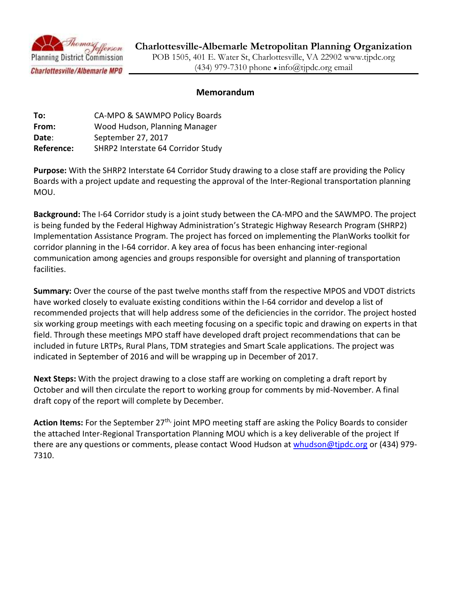

# **Charlottesville-Albemarle Metropolitan Planning Organization**

POB 1505, 401 E. Water St, Charlottesville, VA 22902 www.tjpdc.org (434) 979-7310 phone  $\bullet$  info@tipdc.org email

# **Memorandum**

| To:        | CA-MPO & SAWMPO Policy Boards      |
|------------|------------------------------------|
| From:      | Wood Hudson, Planning Manager      |
| Date:      | September 27, 2017                 |
| Reference: | SHRP2 Interstate 64 Corridor Study |

**Purpose:** With the SHRP2 Interstate 64 Corridor Study drawing to a close staff are providing the Policy Boards with a project update and requesting the approval of the Inter-Regional transportation planning MOU.

**Background:** The I-64 Corridor study is a joint study between the CA-MPO and the SAWMPO. The project is being funded by the Federal Highway Administration's Strategic Highway Research Program (SHRP2) Implementation Assistance Program. The project has forced on implementing the PlanWorks toolkit for corridor planning in the I-64 corridor. A key area of focus has been enhancing inter-regional communication among agencies and groups responsible for oversight and planning of transportation facilities.

**Summary:** Over the course of the past twelve months staff from the respective MPOS and VDOT districts have worked closely to evaluate existing conditions within the I-64 corridor and develop a list of recommended projects that will help address some of the deficiencies in the corridor. The project hosted six working group meetings with each meeting focusing on a specific topic and drawing on experts in that field. Through these meetings MPO staff have developed draft project recommendations that can be included in future LRTPs, Rural Plans, TDM strategies and Smart Scale applications. The project was indicated in September of 2016 and will be wrapping up in December of 2017.

**Next Steps:** With the project drawing to a close staff are working on completing a draft report by October and will then circulate the report to working group for comments by mid-November. A final draft copy of the report will complete by December.

Action Items: For the September 27<sup>th,</sup> joint MPO meeting staff are asking the Policy Boards to consider the attached Inter-Regional Transportation Planning MOU which is a key deliverable of the project If there are any questions or comments, please contact Wood Hudson at [whudson@tjpdc.org](mailto:whudson@tjpdc.org) or (434) 979-7310.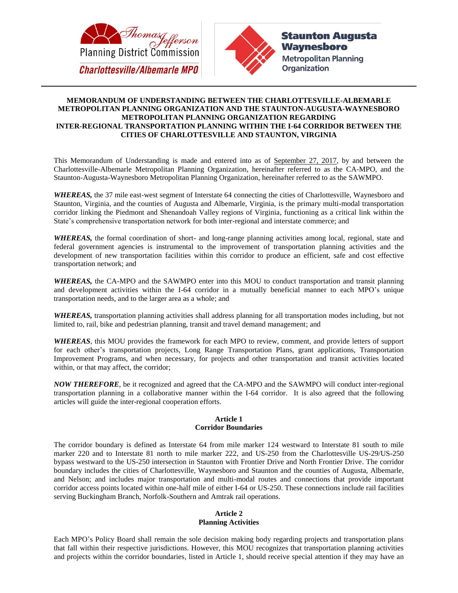



### **MEMORANDUM OF UNDERSTANDING BETWEEN THE CHARLOTTESVILLE-ALBEMARLE METROPOLITAN PLANNING ORGANIZATION AND THE STAUNTON-AUGUSTA-WAYNESBORO METROPOLITAN PLANNING ORGANIZATION REGARDING INTER-REGIONAL TRANSPORTATION PLANNING WITHIN THE I-64 CORRIDOR BETWEEN THE CITIES OF CHARLOTTESVILLE AND STAUNTON, VIRGINIA**

This Memorandum of Understanding is made and entered into as of September 27, 2017, by and between the Charlottesville-Albemarle Metropolitan Planning Organization, hereinafter referred to as the CA-MPO, and the Staunton-Augusta-Waynesboro Metropolitan Planning Organization, hereinafter referred to as the SAWMPO.

*WHEREAS,* the 37 mile east-west segment of Interstate 64 connecting the cities of Charlottesville, Waynesboro and Staunton, Virginia, and the counties of Augusta and Albemarle, Virginia, is the primary multi-modal transportation corridor linking the Piedmont and Shenandoah Valley regions of Virginia, functioning as a critical link within the State's comprehensive transportation network for both inter-regional and interstate commerce; and

*WHEREAS,* the formal coordination of short- and long-range planning activities among local, regional, state and federal government agencies is instrumental to the improvement of transportation planning activities and the development of new transportation facilities within this corridor to produce an efficient, safe and cost effective transportation network; and

*WHEREAS,* the CA-MPO and the SAWMPO enter into this MOU to conduct transportation and transit planning and development activities within the I-64 corridor in a mutually beneficial manner to each MPO's unique transportation needs, and to the larger area as a whole; and

*WHEREAS,* transportation planning activities shall address planning for all transportation modes including, but not limited to, rail, bike and pedestrian planning, transit and travel demand management; and

*WHEREAS*, this MOU provides the framework for each MPO to review, comment, and provide letters of support for each other's transportation projects, Long Range Transportation Plans, grant applications, Transportation Improvement Programs, and when necessary, for projects and other transportation and transit activities located within, or that may affect, the corridor;

*NOW THEREFORE*, be it recognized and agreed that the CA-MPO and the SAWMPO will conduct inter-regional transportation planning in a collaborative manner within the I-64 corridor. It is also agreed that the following articles will guide the inter-regional cooperation efforts.

### **Article 1 Corridor Boundaries**

The corridor boundary is defined as Interstate 64 from mile marker 124 westward to Interstate 81 south to mile marker 220 and to Interstate 81 north to mile marker 222, and US-250 from the Charlottesville US-29/US-250 bypass westward to the US-250 intersection in Staunton with Frontier Drive and North Frontier Drive. The corridor boundary includes the cities of Charlottesville, Waynesboro and Staunton and the counties of Augusta, Albemarle, and Nelson; and includes major transportation and multi-modal routes and connections that provide important corridor access points located within one-half mile of either I-64 or US-250. These connections include rail facilities serving Buckingham Branch, Norfolk-Southern and Amtrak rail operations.

## **Article 2**

### **Planning Activities**

Each MPO's Policy Board shall remain the sole decision making body regarding projects and transportation plans that fall within their respective jurisdictions. However, this MOU recognizes that transportation planning activities and projects within the corridor boundaries, listed in Article 1, should receive special attention if they may have an